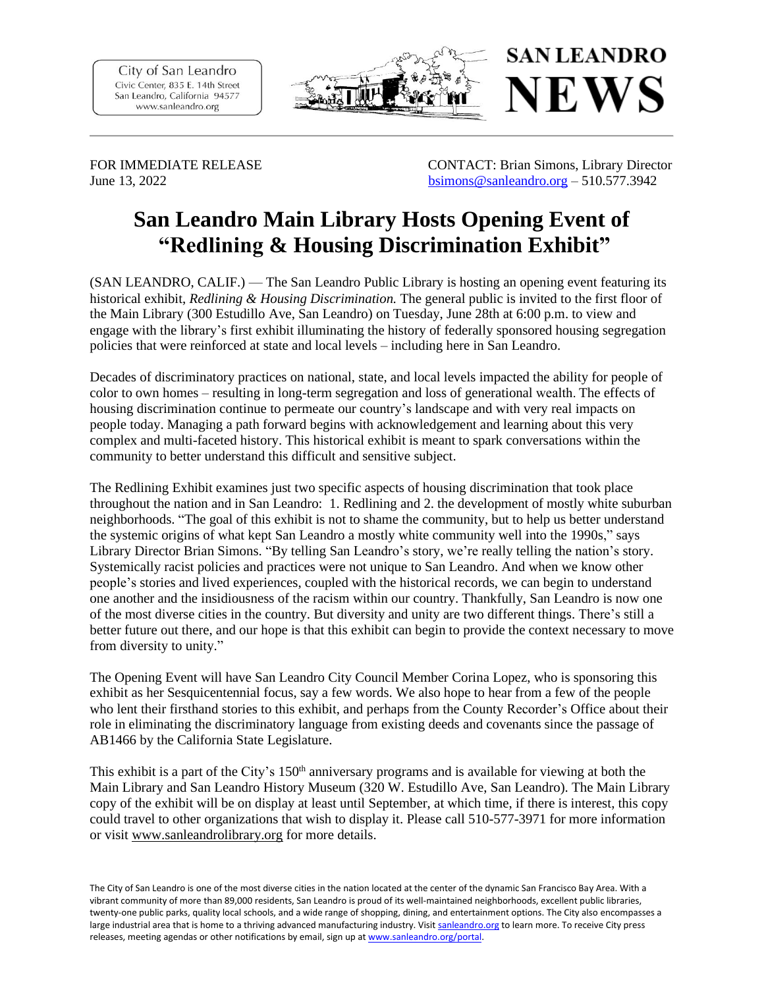City of San Leandro Civic Center, 835 E. 14th Street San Leandro, California 94577 www.sanleandro.org



FOR IMMEDIATE RELEASE CONTACT: Brian Simons, Library Director June 13, 2022 [bsimons@sanleandro.org](mailto:bsimons@sanleandro.org) – 510.577.3942

## **San Leandro Main Library Hosts Opening Event of "Redlining & Housing Discrimination Exhibit"**

(SAN LEANDRO, CALIF.) — The San Leandro Public Library is hosting an opening event featuring its historical exhibit, *Redlining & Housing Discrimination.* The general public is invited to the first floor of the Main Library (300 Estudillo Ave, San Leandro) on Tuesday, June 28th at 6:00 p.m. to view and engage with the library's first exhibit illuminating the history of federally sponsored housing segregation policies that were reinforced at state and local levels – including here in San Leandro.

Decades of discriminatory practices on national, state, and local levels impacted the ability for people of color to own homes – resulting in long-term segregation and loss of generational wealth. The effects of housing discrimination continue to permeate our country's landscape and with very real impacts on people today. Managing a path forward begins with acknowledgement and learning about this very complex and multi-faceted history. This historical exhibit is meant to spark conversations within the community to better understand this difficult and sensitive subject.

The Redlining Exhibit examines just two specific aspects of housing discrimination that took place throughout the nation and in San Leandro: 1. Redlining and 2. the development of mostly white suburban neighborhoods. "The goal of this exhibit is not to shame the community, but to help us better understand the systemic origins of what kept San Leandro a mostly white community well into the 1990s," says Library Director Brian Simons. "By telling San Leandro's story, we're really telling the nation's story. Systemically racist policies and practices were not unique to San Leandro. And when we know other people's stories and lived experiences, coupled with the historical records, we can begin to understand one another and the insidiousness of the racism within our country. Thankfully, San Leandro is now one of the most diverse cities in the country. But diversity and unity are two different things. There's still a better future out there, and our hope is that this exhibit can begin to provide the context necessary to move from diversity to unity."

The Opening Event will have San Leandro City Council Member Corina Lopez, who is sponsoring this exhibit as her Sesquicentennial focus, say a few words. We also hope to hear from a few of the people who lent their firsthand stories to this exhibit, and perhaps from the County Recorder's Office about their role in eliminating the discriminatory language from existing deeds and covenants since the passage of AB1466 by the California State Legislature.

This exhibit is a part of the City's  $150<sup>th</sup>$  anniversary programs and is available for viewing at both the Main Library and San Leandro History Museum (320 W. Estudillo Ave, San Leandro). The Main Library copy of the exhibit will be on display at least until September, at which time, if there is interest, this copy could travel to other organizations that wish to display it. Please call 510-577-3971 for more information or visit [www.sanleandrolibrary.org](http://www.sanleandrolibrary.org/) for more details.

The City of San Leandro is one of the most diverse cities in the nation located at the center of the dynamic San Francisco Bay Area. With a vibrant community of more than 89,000 residents, San Leandro is proud of its well-maintained neighborhoods, excellent public libraries, twenty-one public parks, quality local schools, and a wide range of shopping, dining, and entertainment options. The City also encompasses a large industrial area that is home to a thriving advanced manufacturing industry. Visi[t sanleandro.org](http://www.sanleandro.org/) to learn more. To receive City press releases, meeting agendas or other notifications by email, sign up a[t www.sanleandro.org/portal.](file:///C:/Users/akim/Desktop/www.sanleandro.org/portal)